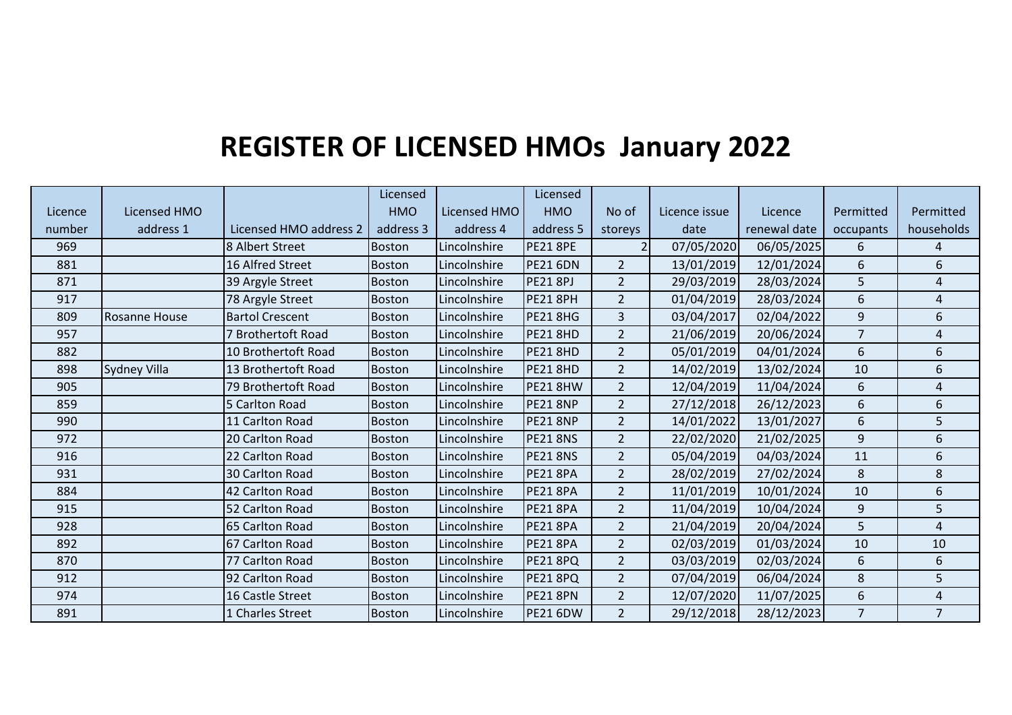## **REGISTER OF LICENSED HMOs January 2022**

|         |                      |                        | Licensed      |              | Licensed        |                |               |              |                |                |
|---------|----------------------|------------------------|---------------|--------------|-----------------|----------------|---------------|--------------|----------------|----------------|
| Licence | Licensed HMO         |                        | <b>HMO</b>    | Licensed HMO | <b>HMO</b>      | No of          | Licence issue | Licence      | Permitted      | Permitted      |
| number  | address 1            | Licensed HMO address 2 | address 3     | address 4    | address 5       | storeys        | date          | renewal date | occupants      | households     |
| 969     |                      | 8 Albert Street        | <b>Boston</b> | Lincolnshire | <b>PE21 8PE</b> | $\overline{2}$ | 07/05/2020    | 06/05/2025   | 6              | 4              |
| 881     |                      | 16 Alfred Street       | <b>Boston</b> | Lincolnshire | <b>PE21 6DN</b> | $\overline{2}$ | 13/01/2019    | 12/01/2024   | 6              | 6              |
| 871     |                      | 39 Argyle Street       | <b>Boston</b> | Lincolnshire | <b>PE21 8PJ</b> | $\overline{2}$ | 29/03/2019    | 28/03/2024   | 5              | 4              |
| 917     |                      | 78 Argyle Street       | <b>Boston</b> | Lincolnshire | <b>PE21 8PH</b> | $\overline{2}$ | 01/04/2019    | 28/03/2024   | 6              | 4              |
| 809     | <b>Rosanne House</b> | <b>Bartol Crescent</b> | <b>Boston</b> | Lincolnshire | <b>PE21 8HG</b> | 3              | 03/04/2017    | 02/04/2022   | 9              | 6              |
| 957     |                      | 7 Brothertoft Road     | <b>Boston</b> | Lincolnshire | <b>PE21 8HD</b> | $\overline{2}$ | 21/06/2019    | 20/06/2024   | $\overline{7}$ | 4              |
| 882     |                      | 10 Brothertoft Road    | <b>Boston</b> | Lincolnshire | <b>PE21 8HD</b> | $\overline{2}$ | 05/01/2019    | 04/01/2024   | 6              | 6              |
| 898     | <b>Sydney Villa</b>  | 13 Brothertoft Road    | <b>Boston</b> | Lincolnshire | <b>PE21 8HD</b> | $\overline{2}$ | 14/02/2019    | 13/02/2024   | 10             | 6              |
| 905     |                      | 79 Brothertoft Road    | <b>Boston</b> | Lincolnshire | PE21 8HW        | $\overline{2}$ | 12/04/2019    | 11/04/2024   | 6              | 4              |
| 859     |                      | 5 Carlton Road         | <b>Boston</b> | Lincolnshire | <b>PE21 8NP</b> | $\overline{2}$ | 27/12/2018    | 26/12/2023   | 6              | 6              |
| 990     |                      | 11 Carlton Road        | <b>Boston</b> | Lincolnshire | <b>PE21 8NP</b> | $\overline{2}$ | 14/01/2022    | 13/01/2027   | 6              | 5              |
| 972     |                      | 20 Carlton Road        | <b>Boston</b> | Lincolnshire | <b>PE21 8NS</b> | $\overline{2}$ | 22/02/2020    | 21/02/2025   | 9              | 6              |
| 916     |                      | 22 Carlton Road        | Boston        | Lincolnshire | <b>PE21 8NS</b> | $\overline{2}$ | 05/04/2019    | 04/03/2024   | 11             | 6              |
| 931     |                      | 30 Carlton Road        | <b>Boston</b> | Lincolnshire | <b>PE21 8PA</b> | $\overline{2}$ | 28/02/2019    | 27/02/2024   | $\,8\,$        | 8              |
| 884     |                      | 42 Carlton Road        | <b>Boston</b> | Lincolnshire | <b>PE21 8PA</b> | $\overline{2}$ | 11/01/2019    | 10/01/2024   | 10             | 6              |
| 915     |                      | 52 Carlton Road        | Boston        | Lincolnshire | <b>PE21 8PA</b> | $\overline{2}$ | 11/04/2019    | 10/04/2024   | 9              | 5              |
| 928     |                      | 65 Carlton Road        | <b>Boston</b> | Lincolnshire | <b>PE21 8PA</b> | $\overline{2}$ | 21/04/2019    | 20/04/2024   | 5              | 4              |
| 892     |                      | 67 Carlton Road        | <b>Boston</b> | Lincolnshire | <b>PE21 8PA</b> | $\overline{2}$ | 02/03/2019    | 01/03/2024   | 10             | 10             |
| 870     |                      | 77 Carlton Road        | <b>Boston</b> | Lincolnshire | <b>PE21 8PQ</b> | $\overline{2}$ | 03/03/2019    | 02/03/2024   | $6\,$          | 6              |
| 912     |                      | 92 Carlton Road        | <b>Boston</b> | Lincolnshire | PE21 8PQ        | $\overline{2}$ | 07/04/2019    | 06/04/2024   | $\,8\,$        | 5              |
| 974     |                      | 16 Castle Street       | <b>Boston</b> | Lincolnshire | <b>PE21 8PN</b> | $\overline{2}$ | 12/07/2020    | 11/07/2025   | 6              | 4              |
| 891     |                      | 1 Charles Street       | <b>Boston</b> | Lincolnshire | <b>PE21 6DW</b> | $\overline{2}$ | 29/12/2018    | 28/12/2023   | $\overline{7}$ | $\overline{7}$ |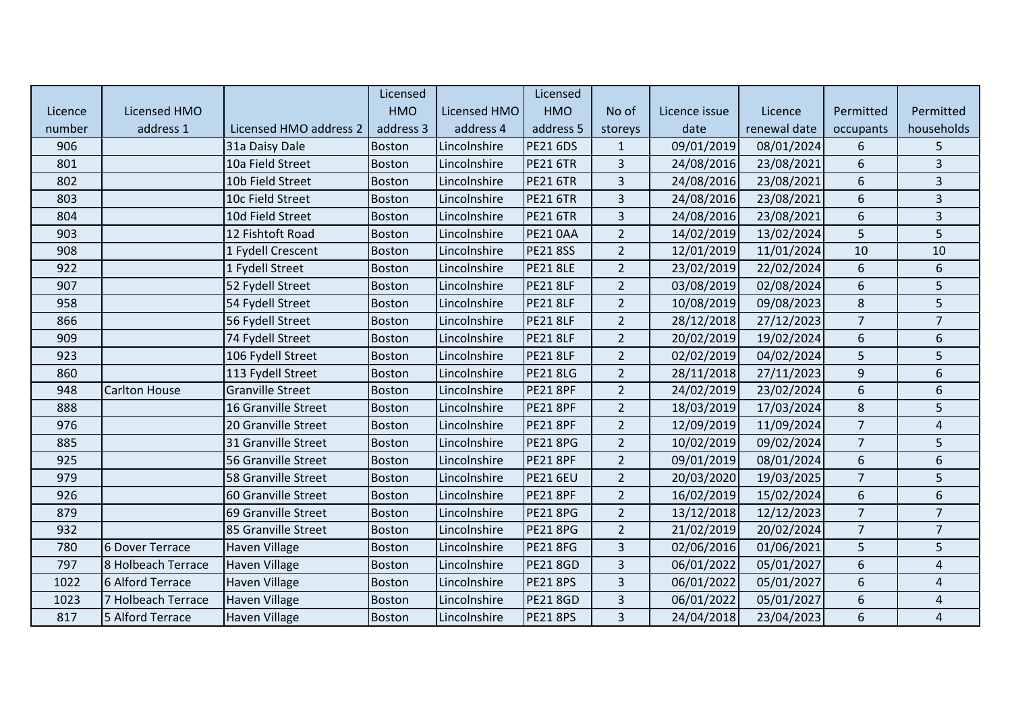|         |                      |                         | Licensed      |              | Licensed        |                         |               |              |                  |                |
|---------|----------------------|-------------------------|---------------|--------------|-----------------|-------------------------|---------------|--------------|------------------|----------------|
| Licence | <b>Licensed HMO</b>  |                         | <b>HMO</b>    | Licensed HMO | <b>HMO</b>      | No of                   | Licence issue | Licence      | Permitted        | Permitted      |
| number  | address 1            | Licensed HMO address 2  | address 3     | address 4    | address 5       | storeys                 | date          | renewal date | occupants        | households     |
| 906     |                      | 31a Daisy Dale          | Boston        | Lincolnshire | <b>PE21 6DS</b> | $\mathbf{1}$            | 09/01/2019    | 08/01/2024   | 6                | 5              |
| 801     |                      | 10a Field Street        | <b>Boston</b> | Lincolnshire | <b>PE21 6TR</b> | 3                       | 24/08/2016    | 23/08/2021   | 6                | 3              |
| 802     |                      | 10b Field Street        | <b>Boston</b> | Lincolnshire | <b>PE21 6TR</b> | $\overline{3}$          | 24/08/2016    | 23/08/2021   | 6                | $\overline{3}$ |
| 803     |                      | 10c Field Street        | <b>Boston</b> | Lincolnshire | <b>PE21 6TR</b> | $\overline{3}$          | 24/08/2016    | 23/08/2021   | 6                | $\overline{3}$ |
| 804     |                      | 10d Field Street        | <b>Boston</b> | Lincolnshire | <b>PE21 6TR</b> | 3                       | 24/08/2016    | 23/08/2021   | 6                | $\mathbf{3}$   |
| 903     |                      | 12 Fishtoft Road        | <b>Boston</b> | Lincolnshire | <b>PE21 0AA</b> | $\overline{2}$          | 14/02/2019    | 13/02/2024   | 5                | 5              |
| 908     |                      | 1 Fydell Crescent       | <b>Boston</b> | Lincolnshire | <b>PE218SS</b>  | $\overline{2}$          | 12/01/2019    | 11/01/2024   | 10               | 10             |
| 922     |                      | 1 Fydell Street         | <b>Boston</b> | Lincolnshire | <b>PE21 8LE</b> | $\overline{2}$          | 23/02/2019    | 22/02/2024   | $\boldsymbol{6}$ | 6              |
| 907     |                      | 52 Fydell Street        | <b>Boston</b> | Lincolnshire | <b>PE21 8LF</b> | $\overline{2}$          | 03/08/2019    | 02/08/2024   | 6                | 5              |
| 958     |                      | 54 Fydell Street        | <b>Boston</b> | Lincolnshire | <b>PE21 8LF</b> | $\overline{2}$          | 10/08/2019    | 09/08/2023   | 8                | 5              |
| 866     |                      | 56 Fydell Street        | Boston        | Lincolnshire | <b>PE21 8LF</b> | $\overline{2}$          | 28/12/2018    | 27/12/2023   | $\overline{7}$   | $\overline{7}$ |
| 909     |                      | 74 Fydell Street        | <b>Boston</b> | Lincolnshire | <b>PE21 8LF</b> | $\overline{2}$          | 20/02/2019    | 19/02/2024   | 6                | 6              |
| 923     |                      | 106 Fydell Street       | <b>Boston</b> | Lincolnshire | <b>PE21 8LF</b> | $\overline{2}$          | 02/02/2019    | 04/02/2024   | 5                | 5              |
| 860     |                      | 113 Fydell Street       | <b>Boston</b> | Lincolnshire | <b>PE21 8LG</b> | $\overline{2}$          | 28/11/2018    | 27/11/2023   | 9                | 6              |
| 948     | <b>Carlton House</b> | <b>Granville Street</b> | <b>Boston</b> | Lincolnshire | <b>PE21 8PF</b> | $\overline{2}$          | 24/02/2019    | 23/02/2024   | 6                | 6              |
| 888     |                      | 16 Granville Street     | <b>Boston</b> | Lincolnshire | <b>PE21 8PF</b> | $\overline{2}$          | 18/03/2019    | 17/03/2024   | 8                | 5              |
| 976     |                      | 20 Granville Street     | <b>Boston</b> | Lincolnshire | <b>PE21 8PF</b> | $\overline{2}$          | 12/09/2019    | 11/09/2024   | $\overline{7}$   | 4              |
| 885     |                      | 31 Granville Street     | <b>Boston</b> | Lincolnshire | <b>PE21 8PG</b> | $\overline{2}$          | 10/02/2019    | 09/02/2024   | $\overline{7}$   | 5              |
| 925     |                      | 56 Granville Street     | <b>Boston</b> | Lincolnshire | <b>PE21 8PF</b> | $\overline{2}$          | 09/01/2019    | 08/01/2024   | 6                | 6              |
| 979     |                      | 58 Granville Street     | <b>Boston</b> | Lincolnshire | <b>PE21 6EU</b> | $\overline{2}$          | 20/03/2020    | 19/03/2025   | $\overline{7}$   | 5              |
| 926     |                      | 60 Granville Street     | <b>Boston</b> | Lincolnshire | <b>PE21 8PF</b> | $\overline{2}$          | 16/02/2019    | 15/02/2024   | 6                | 6              |
| 879     |                      | 69 Granville Street     | <b>Boston</b> | Lincolnshire | <b>PE21 8PG</b> | $\overline{2}$          | 13/12/2018    | 12/12/2023   | $\overline{7}$   | $\overline{7}$ |
| 932     |                      | 85 Granville Street     | <b>Boston</b> | Lincolnshire | <b>PE21 8PG</b> | $\overline{2}$          | 21/02/2019    | 20/02/2024   | $\overline{7}$   | $\overline{7}$ |
| 780     | 6 Dover Terrace      | Haven Village           | <b>Boston</b> | Lincolnshire | <b>PE21 8FG</b> | $\overline{3}$          | 02/06/2016    | 01/06/2021   | 5                | 5              |
| 797     | 8 Holbeach Terrace   | <b>Haven Village</b>    | <b>Boston</b> | Lincolnshire | <b>PE21 8GD</b> | 3                       | 06/01/2022    | 05/01/2027   | $\boldsymbol{6}$ | $\overline{4}$ |
| 1022    | 6 Alford Terrace     | Haven Village           | Boston        | Lincolnshire | <b>PE218PS</b>  | 3                       | 06/01/2022    | 05/01/2027   | 6                | 4              |
| 1023    | 7 Holbeach Terrace   | Haven Village           | <b>Boston</b> | Lincolnshire | <b>PE21 8GD</b> | $\overline{\mathbf{3}}$ | 06/01/2022    | 05/01/2027   | 6                | 4              |
| 817     | 5 Alford Terrace     | <b>Haven Village</b>    | <b>Boston</b> | Lincolnshire | <b>PE218PS</b>  | $\overline{3}$          | 24/04/2018    | 23/04/2023   | 6                | $\overline{4}$ |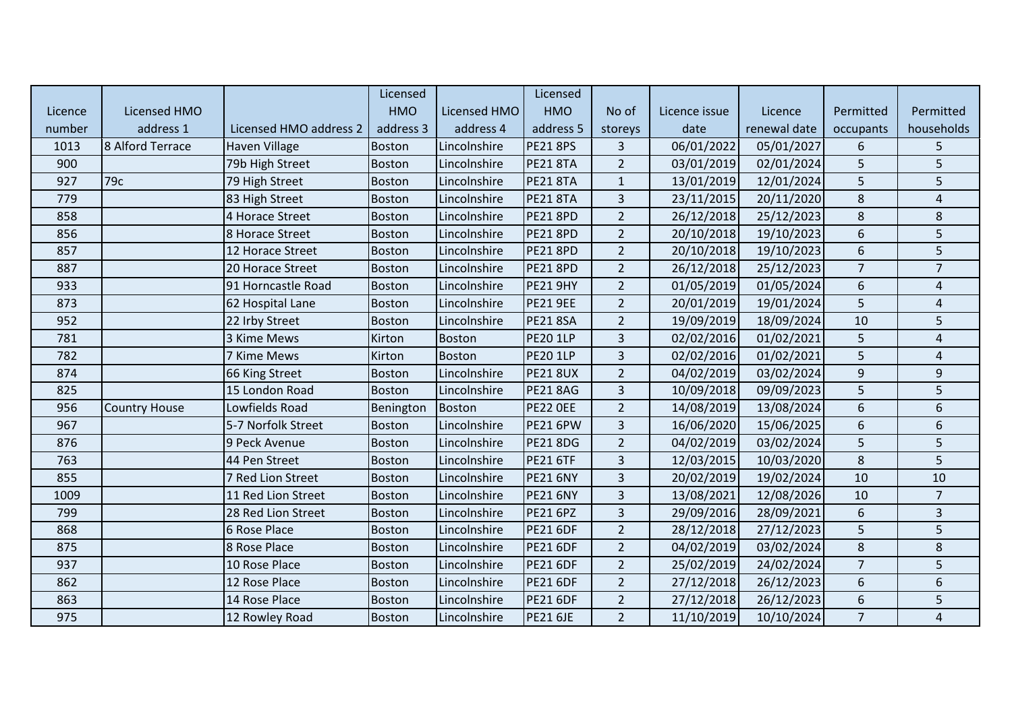|         |                      |                        | Licensed      |               | Licensed        |                |               |              |                  |                |
|---------|----------------------|------------------------|---------------|---------------|-----------------|----------------|---------------|--------------|------------------|----------------|
| Licence | <b>Licensed HMO</b>  |                        | <b>HMO</b>    | Licensed HMO  | <b>HMO</b>      | No of          | Licence issue | Licence      | Permitted        | Permitted      |
| number  | address 1            | Licensed HMO address 2 | address 3     | address 4     | address 5       | storeys        | date          | renewal date | occupants        | households     |
| 1013    | 8 Alford Terrace     | <b>Haven Village</b>   | <b>Boston</b> | Lincolnshire  | <b>PE21 8PS</b> | $\overline{3}$ | 06/01/2022    | 05/01/2027   | 6                | 5              |
| 900     |                      | 79b High Street        | <b>Boston</b> | Lincolnshire  | <b>PE21 8TA</b> | $\overline{2}$ | 03/01/2019    | 02/01/2024   | 5                | 5              |
| 927     | 79c                  | 79 High Street         | <b>Boston</b> | Lincolnshire  | <b>PE21 8TA</b> | $\mathbf{1}$   | 13/01/2019    | 12/01/2024   | 5                | 5              |
| 779     |                      | 83 High Street         | <b>Boston</b> | Lincolnshire  | <b>PE21 8TA</b> | 3              | 23/11/2015    | 20/11/2020   | $\,8\,$          | 4              |
| 858     |                      | 4 Horace Street        | <b>Boston</b> | Lincolnshire  | <b>PE21 8PD</b> | $\overline{2}$ | 26/12/2018    | 25/12/2023   | $\,8\,$          | $\bf 8$        |
| 856     |                      | 8 Horace Street        | <b>Boston</b> | Lincolnshire  | <b>PE21 8PD</b> | $\overline{2}$ | 20/10/2018    | 19/10/2023   | 6                | 5              |
| 857     |                      | 12 Horace Street       | <b>Boston</b> | Lincolnshire  | <b>PE21 8PD</b> | $\overline{2}$ | 20/10/2018    | 19/10/2023   | $\sqrt{6}$       | 5              |
| 887     |                      | 20 Horace Street       | <b>Boston</b> | Lincolnshire  | <b>PE21 8PD</b> | $\overline{2}$ | 26/12/2018    | 25/12/2023   | $\overline{7}$   | $\overline{7}$ |
| 933     |                      | 91 Horncastle Road     | <b>Boston</b> | Lincolnshire  | <b>PE21 9HY</b> | $\overline{2}$ | 01/05/2019    | 01/05/2024   | 6                | 4              |
| 873     |                      | 62 Hospital Lane       | <b>Boston</b> | Lincolnshire  | <b>PE21 9EE</b> | $\overline{2}$ | 20/01/2019    | 19/01/2024   | 5                | $\sqrt{4}$     |
| 952     |                      | 22 Irby Street         | <b>Boston</b> | Lincolnshire  | <b>PE21 8SA</b> | $\overline{2}$ | 19/09/2019    | 18/09/2024   | 10               | 5              |
| 781     |                      | 3 Kime Mews            | Kirton        | <b>Boston</b> | <b>PE20 1LP</b> | 3              | 02/02/2016    | 01/02/2021   | 5                | $\overline{4}$ |
| 782     |                      | 7 Kime Mews            | Kirton        | <b>Boston</b> | <b>PE20 1LP</b> | 3              | 02/02/2016    | 01/02/2021   | 5                | $\overline{4}$ |
| 874     |                      | 66 King Street         | <b>Boston</b> | Lincolnshire  | <b>PE21 8UX</b> | $\overline{2}$ | 04/02/2019    | 03/02/2024   | 9                | 9              |
| 825     |                      | 15 London Road         | <b>Boston</b> | Lincolnshire  | <b>PE21 8AG</b> | 3              | 10/09/2018    | 09/09/2023   | 5                | 5              |
| 956     | <b>Country House</b> | Lowfields Road         | Benington     | Boston        | <b>PE22 OEE</b> | $\overline{2}$ | 14/08/2019    | 13/08/2024   | 6                | 6              |
| 967     |                      | 5-7 Norfolk Street     | <b>Boston</b> | Lincolnshire  | <b>PE21 6PW</b> | 3              | 16/06/2020    | 15/06/2025   | 6                | 6              |
| 876     |                      | 9 Peck Avenue          | <b>Boston</b> | Lincolnshire  | <b>PE218DG</b>  | $\overline{2}$ | 04/02/2019    | 03/02/2024   | 5                | 5              |
| 763     |                      | 44 Pen Street          | <b>Boston</b> | Lincolnshire  | <b>PE21 6TF</b> | 3              | 12/03/2015    | 10/03/2020   | $\,8\,$          | 5              |
| 855     |                      | 7 Red Lion Street      | <b>Boston</b> | Lincolnshire  | <b>PE21 6NY</b> | 3              | 20/02/2019    | 19/02/2024   | 10               | 10             |
| 1009    |                      | 11 Red Lion Street     | <b>Boston</b> | Lincolnshire  | <b>PE21 6NY</b> | 3              | 13/08/2021    | 12/08/2026   | 10               | $\overline{7}$ |
| 799     |                      | 28 Red Lion Street     | <b>Boston</b> | Lincolnshire  | <b>PE21 6PZ</b> | 3              | 29/09/2016    | 28/09/2021   | $\boldsymbol{6}$ | $\overline{3}$ |
| 868     |                      | 6 Rose Place           | <b>Boston</b> | Lincolnshire  | <b>PE21 6DF</b> | $\overline{2}$ | 28/12/2018    | 27/12/2023   | 5                | 5              |
| 875     |                      | 8 Rose Place           | <b>Boston</b> | Lincolnshire  | <b>PE21 6DF</b> | $\overline{2}$ | 04/02/2019    | 03/02/2024   | $\,8\,$          | 8              |
| 937     |                      | 10 Rose Place          | <b>Boston</b> | Lincolnshire  | <b>PE21 6DF</b> | $\overline{2}$ | 25/02/2019    | 24/02/2024   | $\overline{7}$   | 5              |
| 862     |                      | 12 Rose Place          | <b>Boston</b> | Lincolnshire  | <b>PE21 6DF</b> | $\overline{2}$ | 27/12/2018    | 26/12/2023   | 6                | 6              |
| 863     |                      | 14 Rose Place          | <b>Boston</b> | Lincolnshire  | <b>PE21 6DF</b> | $\overline{2}$ | 27/12/2018    | 26/12/2023   | $\boldsymbol{6}$ | 5              |
| 975     |                      | 12 Rowley Road         | <b>Boston</b> | Lincolnshire  | <b>PE21 6JE</b> | $\overline{2}$ | 11/10/2019    | 10/10/2024   | $\overline{7}$   | $\overline{4}$ |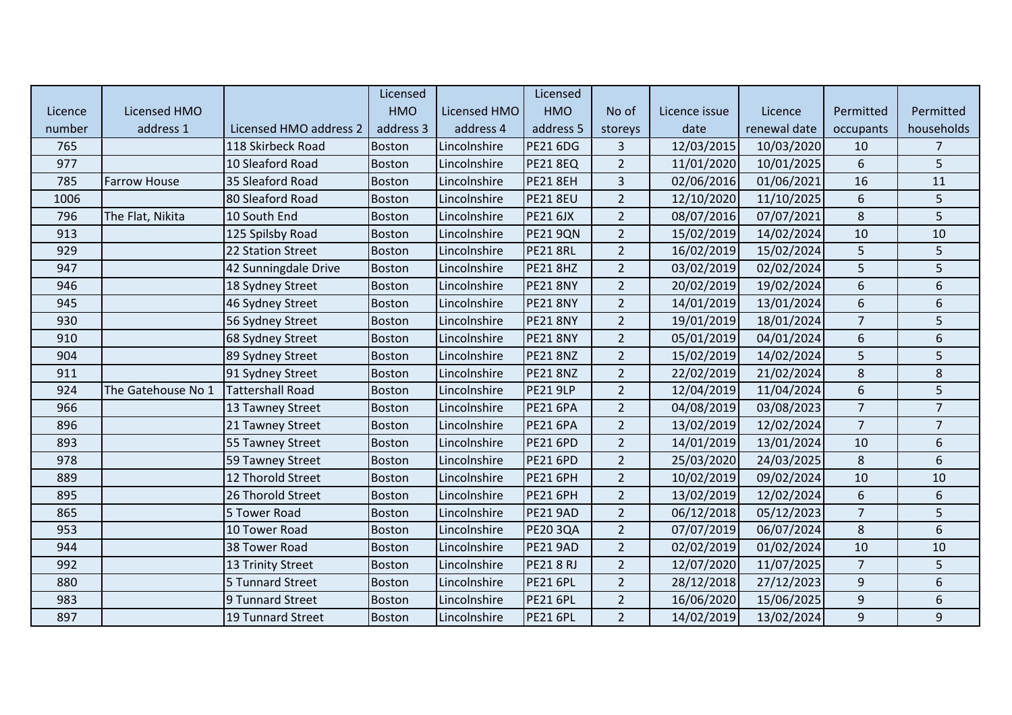|         |                     |                         | Licensed      |              | Licensed        |                |               |              |                  |                  |
|---------|---------------------|-------------------------|---------------|--------------|-----------------|----------------|---------------|--------------|------------------|------------------|
| Licence | <b>Licensed HMO</b> |                         | <b>HMO</b>    | Licensed HMO | <b>HMO</b>      | No of          | Licence issue | Licence      | Permitted        | Permitted        |
| number  | address 1           | Licensed HMO address 2  | address 3     | address 4    | address 5       | storeys        | date          | renewal date | occupants        | households       |
| 765     |                     | 118 Skirbeck Road       | Boston        | Lincolnshire | <b>PE21 6DG</b> | $\overline{3}$ | 12/03/2015    | 10/03/2020   | 10               | $\overline{7}$   |
| 977     |                     | 10 Sleaford Road        | <b>Boston</b> | Lincolnshire | <b>PE21 8EQ</b> | $\overline{2}$ | 11/01/2020    | 10/01/2025   | $\boldsymbol{6}$ | 5                |
| 785     | <b>Farrow House</b> | 35 Sleaford Road        | <b>Boston</b> | Lincolnshire | <b>PE21 8EH</b> | 3              | 02/06/2016    | 01/06/2021   | 16               | 11               |
| 1006    |                     | 80 Sleaford Road        | <b>Boston</b> | Lincolnshire | <b>PE21 8EU</b> | $\overline{2}$ | 12/10/2020    | 11/10/2025   | 6                | 5                |
| 796     | The Flat, Nikita    | 10 South End            | <b>Boston</b> | Lincolnshire | <b>PE21 6JX</b> | $\overline{2}$ | 08/07/2016    | 07/07/2021   | $\,8\,$          | 5                |
| 913     |                     | 125 Spilsby Road        | <b>Boston</b> | Lincolnshire | <b>PE21 9QN</b> | $\overline{2}$ | 15/02/2019    | 14/02/2024   | 10               | 10               |
| 929     |                     | 22 Station Street       | <b>Boston</b> | Lincolnshire | <b>PE21 8RL</b> | $\overline{2}$ | 16/02/2019    | 15/02/2024   | 5                | 5                |
| 947     |                     | 42 Sunningdale Drive    | <b>Boston</b> | Lincolnshire | <b>PE21 8HZ</b> | $\overline{2}$ | 03/02/2019    | 02/02/2024   | 5                | 5                |
| 946     |                     | 18 Sydney Street        | <b>Boston</b> | Lincolnshire | <b>PE21 8NY</b> | $\overline{2}$ | 20/02/2019    | 19/02/2024   | 6                | 6                |
| 945     |                     | 46 Sydney Street        | <b>Boston</b> | Lincolnshire | <b>PE21 8NY</b> | $\overline{2}$ | 14/01/2019    | 13/01/2024   | $\boldsymbol{6}$ | $\boldsymbol{6}$ |
| 930     |                     | 56 Sydney Street        | <b>Boston</b> | Lincolnshire | <b>PE21 8NY</b> | $\overline{2}$ | 19/01/2019    | 18/01/2024   | $\overline{7}$   | 5                |
| 910     |                     | 68 Sydney Street        | <b>Boston</b> | Lincolnshire | <b>PE21 8NY</b> | $\overline{2}$ | 05/01/2019    | 04/01/2024   | 6                | 6                |
| 904     |                     | 89 Sydney Street        | <b>Boston</b> | Lincolnshire | <b>PE21 8NZ</b> | $\overline{2}$ | 15/02/2019    | 14/02/2024   | 5                | 5                |
| 911     |                     | 91 Sydney Street        | <b>Boston</b> | Lincolnshire | <b>PE21 8NZ</b> | $\overline{2}$ | 22/02/2019    | 21/02/2024   | $\,8\,$          | $\bf 8$          |
| 924     | The Gatehouse No 1  | <b>Tattershall Road</b> | <b>Boston</b> | Lincolnshire | <b>PE21 9LP</b> | $\overline{2}$ | 12/04/2019    | 11/04/2024   | $\boldsymbol{6}$ | 5                |
| 966     |                     | 13 Tawney Street        | Boston        | Lincolnshire | <b>PE21 6PA</b> | $\overline{2}$ | 04/08/2019    | 03/08/2023   | $\overline{7}$   | $\overline{7}$   |
| 896     |                     | 21 Tawney Street        | <b>Boston</b> | Lincolnshire | <b>PE21 6PA</b> | $\overline{2}$ | 13/02/2019    | 12/02/2024   | $\overline{7}$   | $\overline{7}$   |
| 893     |                     | 55 Tawney Street        | <b>Boston</b> | Lincolnshire | <b>PE21 6PD</b> | $\overline{2}$ | 14/01/2019    | 13/01/2024   | 10               | 6                |
| 978     |                     | 59 Tawney Street        | <b>Boston</b> | Lincolnshire | <b>PE21 6PD</b> | $\overline{2}$ | 25/03/2020    | 24/03/2025   | 8                | 6                |
| 889     |                     | 12 Thorold Street       | <b>Boston</b> | Lincolnshire | <b>PE21 6PH</b> | $\overline{2}$ | 10/02/2019    | 09/02/2024   | 10               | 10               |
| 895     |                     | 26 Thorold Street       | <b>Boston</b> | Lincolnshire | <b>PE21 6PH</b> | $\overline{2}$ | 13/02/2019    | 12/02/2024   | 6                | 6                |
| 865     |                     | 5 Tower Road            | <b>Boston</b> | Lincolnshire | <b>PE21 9AD</b> | $\overline{2}$ | 06/12/2018    | 05/12/2023   | $\overline{7}$   | 5                |
| 953     |                     | 10 Tower Road           | <b>Boston</b> | Lincolnshire | <b>PE20 3QA</b> | $\overline{2}$ | 07/07/2019    | 06/07/2024   | $8\phantom{1}$   | 6                |
| 944     |                     | 38 Tower Road           | <b>Boston</b> | Lincolnshire | <b>PE21 9AD</b> | $\overline{2}$ | 02/02/2019    | 01/02/2024   | 10               | 10               |
| 992     |                     | 13 Trinity Street       | <b>Boston</b> | Lincolnshire | <b>PE218RJ</b>  | $\overline{2}$ | 12/07/2020    | 11/07/2025   | $\overline{7}$   | 5                |
| 880     |                     | 5 Tunnard Street        | <b>Boston</b> | Lincolnshire | <b>PE21 6PL</b> | $\overline{2}$ | 28/12/2018    | 27/12/2023   | $\boldsymbol{9}$ | 6                |
| 983     |                     | 9 Tunnard Street        | <b>Boston</b> | Lincolnshire | <b>PE21 6PL</b> | $\overline{2}$ | 16/06/2020    | 15/06/2025   | $\boldsymbol{9}$ | 6                |
| 897     |                     | 19 Tunnard Street       | <b>Boston</b> | Lincolnshire | <b>PE21 6PL</b> | $\overline{2}$ | 14/02/2019    | 13/02/2024   | 9                | 9                |